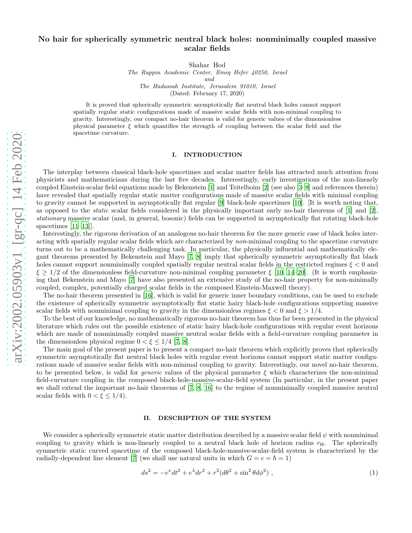# No hair for spherically symmetric neutral black holes: nonminimally coupled massive scalar fields

Shahar Hod

The Ruppin Academic Center, Emeq Hefer 40250, Israel and The Hadassah Institute, Jerusalem 91010, Israel

(Dated: February 17, 2020)

It is proved that spherically symmetric asymptotically flat neutral black holes cannot support spatially regular static configurations made of massive scalar fields with non-minimal coupling to gravity. Interestingly, our compact no-hair theorem is valid for generic values of the dimensionless physical parameter  $\xi$  which quantifies the strength of coupling between the scalar field and the spacetime curvature.

### I. INTRODUCTION

The interplay between classical black-hole spacetimes and scalar matter fields has attracted much attention from physicists and mathematicians during the last five decades. Interestingly, early investigations of the non-linearly coupled Einstein-scalar field equations made by Bekenstein [\[1\]](#page-5-0) and Teitelboim [\[2\]](#page-5-1) (see also [\[3](#page-5-2)[–8\]](#page-5-3) and references therein) have revealed that spatially regular static matter configurations made of massive scalar fields with minimal coupling to gravity cannot be supported in asymptotically flat regular [\[9\]](#page-5-4) black-hole spacetimes [\[10\]](#page-5-5). [It is worth noting that, as opposed to the static scalar fields considered in the physically important early no-hair theorems of [\[1\]](#page-5-0) and [\[2\]](#page-5-1), stationary massive scalar (and, in general, bosonic) fields can be supported in asymptotically flat rotating black-hole spacetimes [\[11](#page-5-6)[–13\]](#page-5-7)].

Interestingly, the rigorous derivation of an analogous no-hair theorem for the more generic case of black holes interacting with spatially regular scalar fields which are characterized by non-minimal coupling to the spacetime curvature turns out to be a mathematically challenging task. In particular, the physically influential and mathematically elegant theorems presented by Bekenstein and Mayo [\[7,](#page-5-8) [8](#page-5-3)] imply that spherically symmetric asymptotically flat black holes cannot support nonminimally coupled spatially regular neutral scalar fields in the restricted regimes  $\xi < 0$  and  $\xi \geq 1/2$  of the dimensionless field-curvature non-minimal coupling parameter  $\xi$  [\[10,](#page-5-5) [14](#page-5-9)[–20](#page-5-10)]. (It is worth emphasizing that Bekenstein and Mayo [\[7](#page-5-8)] have also presented an extensive study of the no-hair property for non-minimally coupled, complex, potentially charged scalar fields in the composed Einstein-Maxwell theory).

The no-hair theorem presented in [\[16](#page-5-11)], which is valid for generic inner boundary conditions, can be used to exclude the existence of spherically symmetric asymptotically flat static hairy black-hole configurations supporting massive scalar fields with nonminimal coupling to gravity in the dimensionless regimes  $\xi < 0$  and  $\xi > 1/4$ .

To the best of our knowledge, no mathematically rigorous no-hair theorem has thus far been presented in the physical literature which rules out the possible existence of static hairy black-hole configurations with regular event horizons which are made of nonminimally coupled massive neutral scalar fields with a field-curvature coupling parameter in the dimensionless physical regime  $0 < \xi \leq 1/4$  [\[7](#page-5-8), [8](#page-5-3)].

The main goal of the present paper is to present a compact no-hair theorem which explicitly proves that spherically symmetric asymptotically flat neutral black holes with regular event horizons cannot support static matter configurations made of massive scalar fields with non-minimal coupling to gravity. Interestingly, our novel no-hair theorem, to be presented below, is valid for *generic* values of the physical parameter  $\xi$  which characterizes the non-minimal field-curvature coupling in the composed black-hole-massive-scalar-field system (In particular, in the present paper we shall extend the important no-hair theorems of [\[7,](#page-5-8) [8,](#page-5-3) [16](#page-5-11)] to the regime of nonminimally coupled massive neutral scalar fields with  $0 < \xi \leq 1/4$ .

#### II. DESCRIPTION OF THE SYSTEM

We consider a spherically symmetric static matter distribution described by a massive scalar field  $\psi$  with nonminimal coupling to gravity which is non-linearly coupled to a neutral black hole of horizon radius  $r_H$ . The spherically symmetric static curved spacetime of the composed black-hole-massive-scalar-field system is characterized by the radially-dependent line element [\[7\]](#page-5-8) (we shall use natural units in which  $G = c = \hbar = 1$ )

<span id="page-0-0"></span>
$$
ds^{2} = -e^{\nu}dt^{2} + e^{\lambda}dr^{2} + r^{2}(d\theta^{2} + \sin^{2}\theta d\phi^{2}), \qquad (1)
$$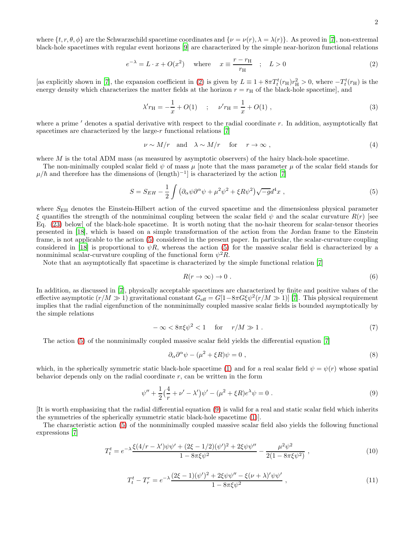where  $\{t, r, \theta, \phi\}$  are the Schwarzschild spacetime coordinates and  $\{\nu = \nu(r), \lambda = \lambda(r)\}\.$  As proved in [\[7\]](#page-5-8), non-extremal black-hole spacetimes with regular event horizons [\[9\]](#page-5-4) are characterized by the simple near-horizon functional relations

<span id="page-1-0"></span>
$$
e^{-\lambda} = L \cdot x + O(x^2) \quad \text{where} \quad x \equiv \frac{r - r_{\text{H}}}{r_{\text{H}}} \quad ; \quad L > 0 \tag{2}
$$

[as explicitly shown in [\[7](#page-5-8)], the expansion coefficient in [\(2\)](#page-1-0) is given by  $L \equiv 1 + 8\pi T_t^t(r_H)r_H^2 > 0$ , where  $-T_t^t(r_H)$  is the energy density which characterizes the matter fields at the horizon  $r = r<sub>H</sub>$  of the black-hole spacetime], and

<span id="page-1-8"></span>
$$
\lambda' r_{\rm H} = -\frac{1}{x} + O(1) \quad ; \quad \nu' r_{\rm H} = \frac{1}{x} + O(1) \tag{3}
$$

where a prime ' denotes a spatial derivative with respect to the radial coordinate r. In addition, asymptotically flat spacetimes are characterized by the large-r functional relations  $[7]$ 

<span id="page-1-3"></span>
$$
\nu \sim M/r \quad \text{and} \quad \lambda \sim M/r \quad \text{for} \quad r \to \infty , \tag{4}
$$

where  $M$  is the total ADM mass (as measured by asymptotic observers) of the hairy black-hole spacetime.

The non-minimally coupled scalar field  $\psi$  of mass  $\mu$  [note that the mass parameter  $\mu$  of the scalar field stands for  $\mu/\hbar$  and therefore has the dimensions of (length)<sup>-1</sup>] is characterized by the action [\[7](#page-5-8)]

<span id="page-1-1"></span>
$$
S = S_{EH} - \frac{1}{2} \int \left( \partial_{\alpha} \psi \partial^{\alpha} \psi + \mu^2 \psi^2 + \xi R \psi^2 \right) \sqrt{-g} d^4 x \tag{5}
$$

where  $S_{\text{EH}}$  denotes the Einstein-Hilbert action of the curved spacetime and the dimensionless physical parameter  $\xi$  quantifies the strength of the nonminimal coupling between the scalar field  $\psi$  and the scalar curvature  $R(r)$  [see Eq. [\(23\)](#page-3-0) below] of the black-hole spacetime. It is worth noting that the no-hair theorem for scalar-tensor theories presented in [\[18\]](#page-5-12), which is based on a simple transformation of the action from the Jordan frame to the Einstein frame, is not applicable to the action [\(5\)](#page-1-1) considered in the present paper. In particular, the scalar-curvature coupling considered in [\[18](#page-5-12)] is proportional to  $\psi R$ , whereas the action [\(5\)](#page-1-1) for the massive scalar field is characterized by a nonminimal scalar-curvature coupling of the functional form  $\psi^2 R$ .

Note that an asymptotically flat spacetime is characterized by the simple functional relation [\[7\]](#page-5-8)

<span id="page-1-4"></span>
$$
R(r \to \infty) \to 0. \tag{6}
$$

In addition, as discussed in [\[7\]](#page-5-8), physically acceptable spacetimes are characterized by finite and positive values of the effective asymptotic  $(r/M \gg 1)$  gravitational constant  $G_{\text{eff}} = G[1 - 8\pi G \xi \psi^2 (r/M \gg 1)]$  [\[7\]](#page-5-8). This physical requirement implies that the radial eigenfunction of the nonminimally coupled massive scalar fields is bounded asymptotically by the simple relations

<span id="page-1-5"></span>
$$
-\infty < 8\pi\xi\psi^2 < 1 \quad \text{for} \quad r/M \gg 1 \tag{7}
$$

The action [\(5\)](#page-1-1) of the nonminimally coupled massive scalar field yields the differential equation [\[7](#page-5-8)]

$$
\partial_{\alpha}\partial^{\alpha}\psi - (\mu^2 + \xi R)\psi = 0 , \qquad (8)
$$

which, in the spherically symmetric static black-hole spacetime [\(1\)](#page-0-0) and for a real scalar field  $\psi = \psi(r)$  whose spatial behavior depends only on the radial coordinate  $r$ , can be written in the form

<span id="page-1-2"></span>
$$
\psi'' + \frac{1}{2} \left( \frac{4}{r} + \nu' - \lambda' \right) \psi' - (\mu^2 + \xi R) e^{\lambda} \psi = 0 \tag{9}
$$

[It is worth emphasizing that the radial differential equation [\(9\)](#page-1-2) is valid for a real and static scalar field which inherits the symmetries of the spherically symmetric static black-hole spacetime [\(1\)](#page-0-0)].

The characteristic action [\(5\)](#page-1-1) of the nonminimally coupled massive scalar field also yields the following functional expressions [\[7\]](#page-5-8)

<span id="page-1-6"></span>
$$
T_t^t = e^{-\lambda} \frac{\xi (4/r - \lambda') \psi \psi' + (2\xi - 1/2)(\psi')^2 + 2\xi \psi \psi''}{1 - 8\pi \xi \psi^2} - \frac{\mu^2 \psi^2}{2(1 - 8\pi \xi \psi^2)} ,
$$
 (10)

<span id="page-1-7"></span>
$$
T_t^t - T_r^r = e^{-\lambda} \frac{(2\xi - 1)(\psi')^2 + 2\xi\psi\psi'' - \xi(\nu + \lambda)'\psi\psi'}{1 - 8\pi\xi\psi^2} ,
$$
\n(11)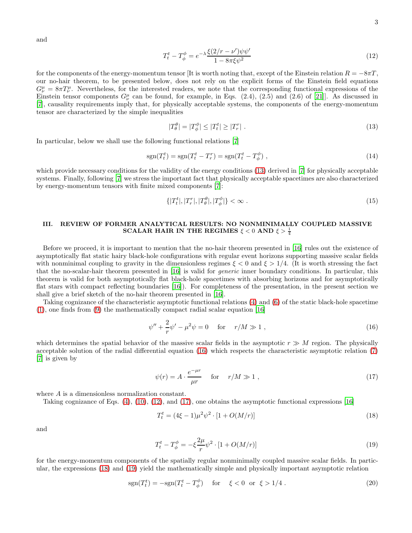and

<span id="page-2-2"></span>
$$
T_t^t - T_\phi^\phi = e^{-\lambda} \frac{\xi(2/r - \nu')\psi\psi'}{1 - 8\pi\xi\psi^2}
$$
\n<sup>(12)</sup>

for the components of the energy-momentum tensor [It is worth noting that, except of the Einstein relation  $R = -8\pi T$ , our no-hair theorem, to be presented below, does not rely on the explicit forms of the Einstein field equations  $G^{\mu}_{\nu} = 8\pi T^{\mu}_{\nu}$ . Nevertheless, for the interested readers, we note that the corresponding functional expressions of the Einstein tensor components  $G^{\mu}_{\nu}$  can be found, for example, in Eqs. (2.4), (2.5) and (2.6) of [\[21\]](#page-5-13)]. As discussed in [\[7\]](#page-5-8), causality requirements imply that, for physically acceptable systems, the components of the energy-momentum tensor are characterized by the simple inequalities

<span id="page-2-0"></span>
$$
|T^{\theta}_{\theta}| = |T^{\phi}_{\phi}| \le |T^t| \ge |T^r_r| \tag{13}
$$

In particular, below we shall use the following functional relations [\[7\]](#page-5-8)

<span id="page-2-7"></span>
$$
sgn(T_t^t) = sgn(T_t^t - T_r^r) = sgn(T_t^t - T_\phi^\phi) \tag{14}
$$

which provide necessary conditions for the validity of the energy conditions [\(13\)](#page-2-0) derived in [\[7](#page-5-8)] for physically acceptable systems. Finally, following [\[7\]](#page-5-8) we stress the important fact that physically acceptable spacetimes are also characterized by energy-momentum tensors with finite mixed components [\[7](#page-5-8)]:

<span id="page-2-8"></span>
$$
\{|T_t^t|, |T_r^r|, |T_\theta^\theta|, |T_\phi^\phi|\} < \infty \tag{15}
$$

## III. REVIEW OF FORMER ANALYTICAL RESULTS: NO NONMINIMALLY COUPLED MASSIVE SCALAR HAIR IN THE REGIMES  $\xi < 0$  and  $\xi > \frac{1}{4}$

Before we proceed, it is important to mention that the no-hair theorem presented in [\[16](#page-5-11)] rules out the existence of asymptotically flat static hairy black-hole configurations with regular event horizons supporting massive scalar fields with nonminimal coupling to gravity in the dimensionless regimes  $\xi < 0$  and  $\xi > 1/4$ . (It is worth stressing the fact that the no-scalar-hair theorem presented in [\[16\]](#page-5-11) is valid for generic inner boundary conditions. In particular, this theorem is valid for both asymptotically flat black-hole spacetimes with absorbing horizons and for asymptotically flat stars with compact reflecting boundaries [\[16\]](#page-5-11)). For completeness of the presentation, in the present section we shall give a brief sketch of the no-hair theorem presented in [\[16\]](#page-5-11).

Taking cognizance of the characteristic asymptotic functional relations [\(4\)](#page-1-3) and [\(6\)](#page-1-4) of the static black-hole spacetime [\(1\)](#page-0-0), one finds from [\(9\)](#page-1-2) the mathematically compact radial scalar equation [\[16](#page-5-11)]

<span id="page-2-1"></span>
$$
\psi'' + \frac{2}{r}\psi' - \mu^2\psi = 0 \quad \text{for} \quad r/M \gg 1 ,
$$
 (16)

which determines the spatial behavior of the massive scalar fields in the asymptotic  $r \gg M$  region. The physically acceptable solution of the radial differential equation [\(16\)](#page-2-1) which respects the characteristic asymptotic relation [\(7\)](#page-1-5) [\[7\]](#page-5-8) is given by

<span id="page-2-3"></span>
$$
\psi(r) = A \cdot \frac{e^{-\mu r}}{\mu r} \quad \text{for} \quad r/M \gg 1 , \qquad (17)
$$

where A is a dimensionless normalization constant.

Taking cognizance of Eqs.  $(4)$ ,  $(10)$ ,  $(12)$ , and  $(17)$ , one obtains the asymptotic functional expressions [\[16](#page-5-11)]

<span id="page-2-4"></span>
$$
T_t^t = (4\xi - 1)\mu^2 \psi^2 \cdot [1 + O(M/r)] \tag{18}
$$

and

<span id="page-2-5"></span>
$$
T_t^t - T_\phi^\phi = -\xi \frac{2\mu}{r} \psi^2 \cdot [1 + O(M/r)] \tag{19}
$$

for the energy-momentum components of the spatially regular nonminimally coupled massive scalar fields. In particular, the expressions [\(18\)](#page-2-4) and [\(19\)](#page-2-5) yield the mathematically simple and physically important asymptotic relation

<span id="page-2-6"></span>
$$
sgn(T_t^t) = -sgn(T_t^t - T_\phi^\phi) \quad \text{for} \quad \xi < 0 \quad \text{or} \quad \xi > 1/4 \tag{20}
$$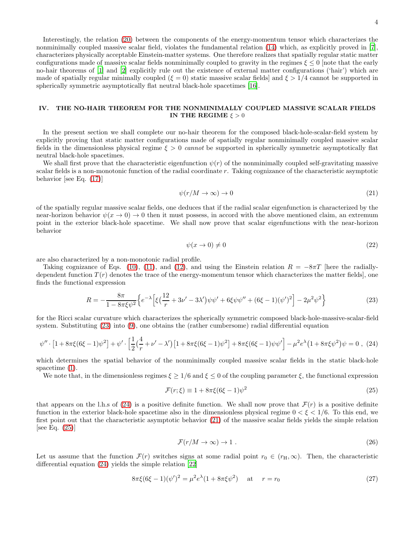Interestingly, the relation [\(20\)](#page-2-6) between the components of the energy-momentum tensor which characterizes the nonminimally coupled massive scalar field, violates the fundamental relation [\(14\)](#page-2-7) which, as explicitly proved in [\[7\]](#page-5-8), characterizes physically acceptable Einstein-matter systems. One therefore realizes that spatially regular static matter configurations made of massive scalar fields nonminimally coupled to gravity in the regimes  $\xi \leq 0$  [note that the early no-hair theorems of [\[1\]](#page-5-0) and [\[2](#page-5-1)] explicitly rule out the existence of external matter configurations ('hair') which are made of spatially regular minimally coupled ( $\xi = 0$ ) static massive scalar fields and  $\xi > 1/4$  cannot be supported in spherically symmetric asymptotically flat neutral black-hole spacetimes [\[16\]](#page-5-11).

### IV. THE NO-HAIR THEOREM FOR THE NONMINIMALLY COUPLED MASSIVE SCALAR FIELDS IN THE REGIME  $\xi > 0$

In the present section we shall complete our no-hair theorem for the composed black-hole-scalar-field system by explicitly proving that static matter configurations made of spatially regular nonminimally coupled massive scalar fields in the dimensionless physical regime  $\xi > 0$  cannot be supported in spherically symmetric asymptotically flat neutral black-hole spacetimes.

We shall first prove that the characteristic eigenfunction  $\psi(r)$  of the nonminimally coupled self-gravitating massive scalar fields is a non-monotonic function of the radial coordinate r. Taking cognizance of the characteristic asymptotic behavior [see Eq. [\(17\)](#page-2-3)]

<span id="page-3-2"></span>
$$
\psi(r/M \to \infty) \to 0 \tag{21}
$$

of the spatially regular massive scalar fields, one deduces that if the radial scalar eigenfunction is characterized by the near-horizon behavior  $\psi(x \to 0) \to 0$  then it must possess, in accord with the above mentioned claim, an extremum point in the exterior black-hole spacetime. We shall now prove that scalar eigenfunctions with the near-horizon behavior

<span id="page-3-6"></span>
$$
\psi(x \to 0) \neq 0 \tag{22}
$$

are also characterized by a non-monotonic radial profile.

Taking cognizance of Eqs. [\(10\)](#page-1-6), [\(11\)](#page-1-7), and [\(12\)](#page-2-2), and using the Einstein relation  $R = -8\pi T$  [here the radiallydependent function  $T(r)$  denotes the trace of the energy-momentum tensor which characterizes the matter fields, one finds the functional expression

<span id="page-3-0"></span>
$$
R = -\frac{8\pi}{1 - 8\pi\xi\psi^2} \left\{ e^{-\lambda} \left[ \xi \left( \frac{12}{r} + 3\nu' - 3\lambda' \right) \psi \psi' + 6\xi\psi\psi'' + (6\xi - 1)(\psi')^2 \right] - 2\mu^2\psi^2 \right\}
$$
(23)

for the Ricci scalar curvature which characterizes the spherically symmetric composed black-hole-massive-scalar-field system. Substituting [\(23\)](#page-3-0) into [\(9\)](#page-1-2), one obtains the (rather cumbersome) radial differential equation

<span id="page-3-1"></span>
$$
\psi'' \cdot \left[1 + 8\pi\xi(6\xi - 1)\psi^2\right] + \psi' \cdot \left[\frac{1}{2}\left(\frac{4}{r} + \nu' - \lambda'\right)\left[1 + 8\pi\xi(6\xi - 1)\psi^2\right] + 8\pi\xi(6\xi - 1)\psi\psi'\right] - \mu^2 e^{\lambda}\left(1 + 8\pi\xi\psi^2\right)\psi = 0 \tag{24}
$$

which determines the spatial behavior of the nonminimally coupled massive scalar fields in the static black-hole spacetime [\(1\)](#page-0-0).

We note that, in the dimensionless regimes  $\xi \geq 1/6$  and  $\xi \leq 0$  of the coupling parameter  $\xi$ , the functional expression

<span id="page-3-3"></span>
$$
\mathcal{F}(r;\xi) \equiv 1 + 8\pi\xi(6\xi - 1)\psi^2\tag{25}
$$

that appears on the l.h.s of [\(24\)](#page-3-1) is a positive definite function. We shall now prove that  $\mathcal{F}(r)$  is a positive definite function in the exterior black-hole spacetime also in the dimensionless physical regime  $0 < \xi < 1/6$ . To this end, we first point out that the characteristic asymptotic behavior [\(21\)](#page-3-2) of the massive scalar fields yields the simple relation [see Eq. [\(25\)](#page-3-3)]

<span id="page-3-5"></span>
$$
\mathcal{F}(r/M \to \infty) \to 1 \tag{26}
$$

Let us assume that the function  $\mathcal{F}(r)$  switches signs at some radial point  $r_0 \in (r_H, \infty)$ . Then, the characteristic differential equation [\(24\)](#page-3-1) yields the simple relation [\[22\]](#page-5-14)

<span id="page-3-4"></span>
$$
8\pi\xi(6\xi - 1)(\psi')^2 = \mu^2 e^{\lambda} (1 + 8\pi\xi\psi^2) \quad \text{at} \quad r = r_0 \tag{27}
$$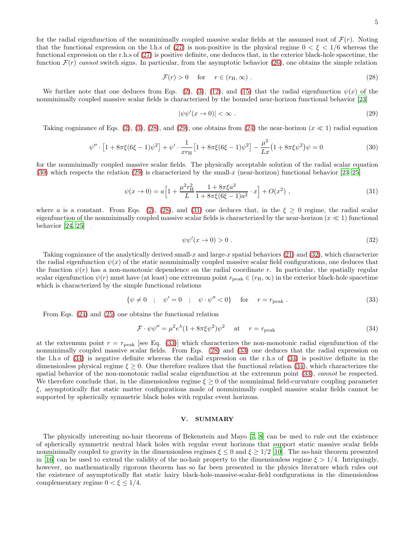for the radial eigenfunction of the nonminimally coupled massive scalar fields at the assumed root of  $\mathcal{F}(r)$ . Noting that the functional expression on the l.h.s of [\(27\)](#page-3-4) is non-positive in the physical regime  $0 < \xi < 1/6$  whereas the functional expression on the r.h.s of [\(27\)](#page-3-4) is positive definite, one deduces that, in the exterior black-hole spacetime, the function  $\mathcal{F}(r)$  cannot switch signs. In particular, from the asymptotic behavior [\(26\)](#page-3-5), one obtains the simple relation

<span id="page-4-0"></span>
$$
\mathcal{F}(r) > 0 \quad \text{for} \quad r \in (r_H, \infty) \tag{28}
$$

We further note that one deduces from Eqs. [\(2\)](#page-1-0), [\(3\)](#page-1-8), [\(12\)](#page-2-2), and [\(15\)](#page-2-8) that the radial eigenfunction  $\psi(x)$  of the nonminimally coupled massive scalar fields is characterized by the bounded near-horizon functional behavior [\[23\]](#page-5-15)

<span id="page-4-1"></span>
$$
|\psi\psi'(x \to 0)| < \infty \tag{29}
$$

Taking cognizance of Eqs. [\(2\)](#page-1-0), [\(3\)](#page-1-8), [\(28\)](#page-4-0), and [\(29\)](#page-4-1), one obtains from [\(24\)](#page-3-1) the near-horizon ( $x \ll 1$ ) radial equation

<span id="page-4-2"></span>
$$
\psi'' \cdot \left[1 + 8\pi\xi(6\xi - 1)\psi^2\right] + \psi' \cdot \frac{1}{x r_{\rm H}} \left[1 + 8\pi\xi(6\xi - 1)\psi^2\right] - \frac{\mu^2}{Lx} \left(1 + 8\pi\xi\psi^2\right)\psi = 0\tag{30}
$$

for the nonminimally coupled massive scalar fields. The physically acceptable solution of the radial scalar equation [\(30\)](#page-4-2) which respects the relation [\(29\)](#page-4-1) is characterized by the small-x (near-horizon) functional behavior  $[23-25]$ 

<span id="page-4-3"></span>
$$
\psi(x \to 0) = a \left[ 1 + \frac{\mu^2 r_H^2}{L} \frac{1 + 8\pi \xi a^2}{1 + 8\pi \xi (6\xi - 1)a^2} \cdot x \right] + O(x^2) \tag{31}
$$

where a is a constant. From Eqs. [\(2\)](#page-1-0), [\(28\)](#page-4-0), and [\(31\)](#page-4-3) one deduces that, in the  $\xi \geq 0$  regime, the radial scalar eigenfunction of the nonminimally coupled massive scalar fields is characterized by the near-horizon ( $x \ll 1$ ) functional behavior [\[24,](#page-6-1) [25\]](#page-6-0)

<span id="page-4-4"></span>
$$
\psi\psi'(x \to 0) > 0. \tag{32}
$$

Taking cognizance of the analytically derived small-x and large-x spatial behaviors  $(21)$  and  $(32)$ , which characterize the radial eigenfunction  $\psi(x)$  of the static nonminimally coupled massive scalar field configurations, one deduces that the function  $\psi(r)$  has a non-monotonic dependence on the radial coordinate r. In particular, the spatially regular scalar eigenfunction  $\psi(r)$  must have (at least) one extremum point  $r_{\text{peak}} \in (r_H, \infty)$  in the exterior black-hole spacetime which is characterized by the simple functional relations

<span id="page-4-5"></span>
$$
\{\psi \neq 0 \quad ; \quad \psi' = 0 \quad ; \quad \psi \cdot \psi'' < 0\} \quad \text{for} \quad r = r_{\text{peak}} \tag{33}
$$

From Eqs. [\(24\)](#page-3-1) and [\(25\)](#page-3-3) one obtains the functional relation

<span id="page-4-6"></span>
$$
\mathcal{F} \cdot \psi \psi'' = \mu^2 e^{\lambda} (1 + 8\pi \xi \psi^2) \psi^2 \quad \text{at} \quad r = r_{\text{peak}} \tag{34}
$$

at the extremum point  $r = r_{\text{peak}}$  [see Eq. [\(33\)](#page-4-5)] which characterizes the non-monotonic radial eigenfunction of the nonminimally coupled massive scalar fields. From Eqs. [\(28\)](#page-4-0) and [\(33\)](#page-4-5) one deduces that the radial expression on the l.h.s of [\(34\)](#page-4-6) is negative definite whereas the radial expression on the r.h.s of [\(34\)](#page-4-6) is positive definite in the dimensionless physical regime  $\xi \geq 0$ . One therefore realizes that the functional relation [\(34\)](#page-4-6), which characterizes the spatial behavior of the non-monotonic radial scalar eigenfunction at the extremum point [\(33\)](#page-4-5), cannot be respected. We therefore conclude that, in the dimensionless regime  $\xi \geq 0$  of the nonminimal field-curvature coupling parameter ξ, asymptotically flat static matter configurations made of nonminimally coupled massive scalar fields cannot be supported by spherically symmetric black holes with regular event horizons.

### V. SUMMARY

The physically interesting no-hair theorems of Bekenstein and Mayo [\[7,](#page-5-8) [8](#page-5-3)] can be used to rule out the existence of spherically symmetric neutral black holes with regular event horizons that support static massive scalar fields nonminimally coupled to gravity in the dimensionless regimes  $\xi \leq 0$  and  $\xi \geq 1/2$  [\[10](#page-5-5)]. The no-hair theorem presented in [\[16\]](#page-5-11) can be used to extend the validity of the no-hair property to the dimensionless regime  $\xi > 1/4$ . Intriguingly, however, no mathematically rigorous theorem has so far been presented in the physics literature which rules out the existence of asymptotically flat static hairy black-hole-massive-scalar-field configurations in the dimensionless complementary regime  $0 < \xi \leq 1/4$ .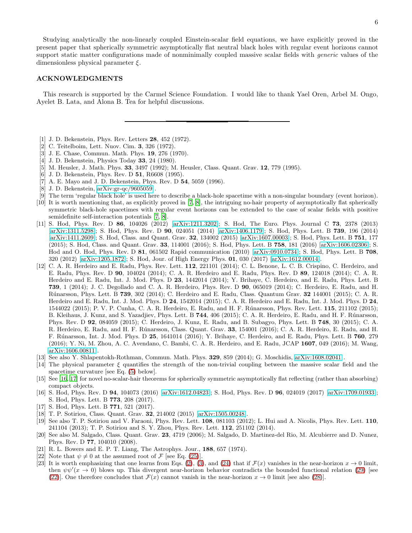Studying analytically the non-linearly coupled Einstein-scalar field equations, we have explicitly proved in the present paper that spherically symmetric asymptotically flat neutral black holes with regular event horizons cannot support static matter configurations made of nonminimally coupled massive scalar fields with *generic* values of the dimensionless physical parameter  $\xi$ .

### ACKNOWLEDGMENTS

This research is supported by the Carmel Science Foundation. I would like to thank Yael Oren, Arbel M. Ongo, Ayelet B. Lata, and Alona B. Tea for helpful discussions.

- <span id="page-5-0"></span>[1] J. D. Bekenstein, Phys. Rev. Letters 28, 452 (1972).
- <span id="page-5-1"></span>[2] C. Teitelboim, Lett. Nuov. Cim. 3, 326 (1972).
- <span id="page-5-2"></span>[3] J. E. Chase, Commun. Math. Phys. 19, 276 (1970).
- [4] J. D. Bekenstein, Physics Today 33, 24 (1980).
- [5] M. Heusler, J. Math. Phys. 33, 3497 (1992); M. Heusler, Class. Quant. Grav. 12, 779 (1995).
- [6] J. D. Bekenstein, Phys. Rev. D 51, R6608 (1995).
- <span id="page-5-8"></span>[7] A. E. Mayo and J. D. Bekenstein, Phys. Rev. D 54, 5059 (1996).
- <span id="page-5-3"></span>[8] J. D. Bekenstein, [arXiv:gr-qc/9605059](http://arxiv.org/abs/gr-qc/9605059) .
- <span id="page-5-5"></span><span id="page-5-4"></span>[9] The term 'regular black hole' is used here to describe a black-hole spacetime with a non-singular boundary (event horizon). [10] It is worth mentioning that, as explicitly proved in [\[7,](#page-5-8) [8](#page-5-3)], the intriguing no-hair property of asymptotically flat spherically symmetric black-hole spacetimes with regular event horizons can be extended to the case of scalar fields with positive semidefinite self-interaction potentials [\[7](#page-5-8), [8\]](#page-5-3).
- <span id="page-5-6"></span>[11] S. Hod, Phys. Rev. D 86, 104026 (2012) [\[arXiv:1211.3202\]](http://arxiv.org/abs/1211.3202); S. Hod, The Euro. Phys. Journal C 73, 2378 (2013) [\[arXiv:1311.5298\]](http://arxiv.org/abs/1311.5298); S. Hod, Phys. Rev. D 90, 024051 (2014) [\[arXiv:1406.1179\]](http://arxiv.org/abs/1406.1179); S. Hod, Phys. Lett. B 739, 196 (2014) [\[arXiv:1411.2609\]](http://arxiv.org/abs/1411.2609); S. Hod, Class. and Quant. Grav. 32, 134002 (2015) [\[arXiv:1607.00003\]](http://arxiv.org/abs/1607.00003); S. Hod, Phys. Lett. B 751, 177 (2015); S. Hod, Class. and Quant. Grav. 33, 114001 (2016); S. Hod, Phys. Lett. B 758, 181 (2016) [\[arXiv:1606.02306\]](http://arxiv.org/abs/1606.02306); S. Hod and O. Hod, Phys. Rev. D 81, 061502 Rapid communication (2010) [\[arXiv:0910.0734\]](http://arxiv.org/abs/0910.0734); S. Hod, Phys. Lett. B 708, 320 (2012) [\[arXiv:1205.1872\]](http://arxiv.org/abs/1205.1872); S. Hod, Jour. of High Energy Phys. 01, 030 (2017) [\[arXiv:1612.00014\]](http://arxiv.org/abs/1612.00014).
- [12] C. A. R. Herdeiro and E. Radu, Phys. Rev. Lett. 112, 221101 (2014); C. L. Benone, L. C. B. Crispino, C. Herdeiro, and E. Radu, Phys. Rev. D 90, 104024 (2014); C. A. R. Herdeiro and E. Radu, Phys. Rev. D 89, 124018 (2014); C. A. R. Herdeiro and E. Radu, Int. J. Mod. Phys. D 23, 1442014 (2014); Y. Brihaye, C. Herdeiro, and E. Radu, Phys. Lett. B 739, 1 (2014); J. C. Degollado and C. A. R. Herdeiro, Phys. Rev. D 90, 065019 (2014); C. Herdeiro, E. Radu, and H. R´unarsson, Phys. Lett. B 739, 302 (2014); C. Herdeiro and E. Radu, Class. Quantum Grav. 32 144001 (2015); C. A. R. Herdeiro and E. Radu, Int. J. Mod. Phys. D 24, 1542014 (2015); C. A. R. Herdeiro and E. Radu, Int. J. Mod. Phys. D 24, 1544022 (2015); P. V. P. Cunha, C. A. R. Herdeiro, E. Radu, and H. F. Rúnarsson, Phys. Rev. Lett. 115, 211102 (2015); B. Kleihaus, J. Kunz, and S. Yazadjiev, Phys. Lett. B 744, 406 (2015); C. A. R. Herdeiro, E. Radu, and H. F. Rúnarsson, Phys. Rev. D 92, 084059 (2015); C. Herdeiro, J. Kunz, E. Radu, and B. Subagyo, Phys. Lett. B 748, 30 (2015); C. A. R. Herdeiro, E. Radu, and H. F. Rúnarsson, Class. Quant. Grav. 33, 154001 (2016); C. A. R. Herdeiro, E. Radu, and H. F. R´unarsson, Int. J. Mod. Phys. D 25, 1641014 (2016); Y. Brihaye, C. Herdeiro, and E. Radu, Phys. Lett. B 760, 279 (2016); Y. Ni, M. Zhou, A. C. Avendano, C. Bambi, C. A. R. Herdeiro, and E. Radu, JCAP 1607, 049 (2016); M. Wang,  $arXiv:1606.00811$ .
- <span id="page-5-7"></span>[13] See also Y. Shlapentokh-Rothman, Commun. Math. Phys. 329, 859 (2014); G. Moschidis, [arXiv:1608.02041](http://arxiv.org/abs/1608.02041) .
- <span id="page-5-9"></span>[14] The physical parameter ξ quantifies the strength of the non-trivial coupling between the massive scalar field and the spacetime curvature [see Eq. [\(5\)](#page-1-1) below].
- [15] See [\[16](#page-5-11), [17\]](#page-5-16) for novel no-scalar-hair theorems for spherically symmetric asymptotically flat reflecting (rather than absorbing) compact objects.
- <span id="page-5-11"></span>[16] S. Hod, Phys. Rev. D 94, 104073 (2016) [\[arXiv:1612.04823\]](http://arxiv.org/abs/1612.04823); S. Hod, Phys. Rev. D 96, 024019 (2017) [\[arXiv:1709.01933\]](http://arxiv.org/abs/1709.01933); S. Hod, Phys. Lett. B 773, 208 (2017).
- <span id="page-5-16"></span>[17] S. Hod, Phys. Lett. B **771**, 521 (2017).
- <span id="page-5-12"></span>[18] T. P. Sotiriou, Class. Quant. Grav. 32, 214002 (2015) [\[arXiv:1505.00248\]](http://arxiv.org/abs/1505.00248).
- [19] See also T. P. Sotiriou and V. Faraoni, Phys. Rev. Lett. 108, 081103 (2012); L. Hui and A. Nicolis, Phys. Rev. Lett. 110, 241104 (2013); T. P. Sotiriou and S. Y. Zhou, Phys. Rev. Lett. 112, 251102 (2014).
- <span id="page-5-10"></span>[20] See also M. Salgado, Class. Quant. Grav. 23, 4719 (2006); M. Salgado, D. Martinez-del Rio, M. Alcubierre and D. Nunez, Phys. Rev. D 77, 104010 (2008).
- <span id="page-5-13"></span>[21] R. L. Bowers and E. P. T. Liang, The Astrophys. Jour., 188, 657 (1974).
- <span id="page-5-14"></span>[22] Note that  $\psi \neq 0$  at the assumed root of F [see Eq. [\(25\)](#page-3-3)].
- <span id="page-5-15"></span>[23] It is worth emphasizing that one learns from Eqs. [\(2\)](#page-1-0), [\(3\)](#page-1-8), and [\(24\)](#page-3-1) that if  $\mathcal{F}(x)$  vanishes in the near-horizon  $x \to 0$  limit, then  $\psi\psi'(x\to 0)$  blows up. This divergent near-horizon behavior contradicts the bounded functional relation [\(29\)](#page-4-1) [see [\(22\)](#page-3-6)]. One therefore concludes that  $\mathcal{F}(x)$  cannot vanish in the near-horizon  $x \to 0$  limit [see also [\(28\)](#page-4-0)].